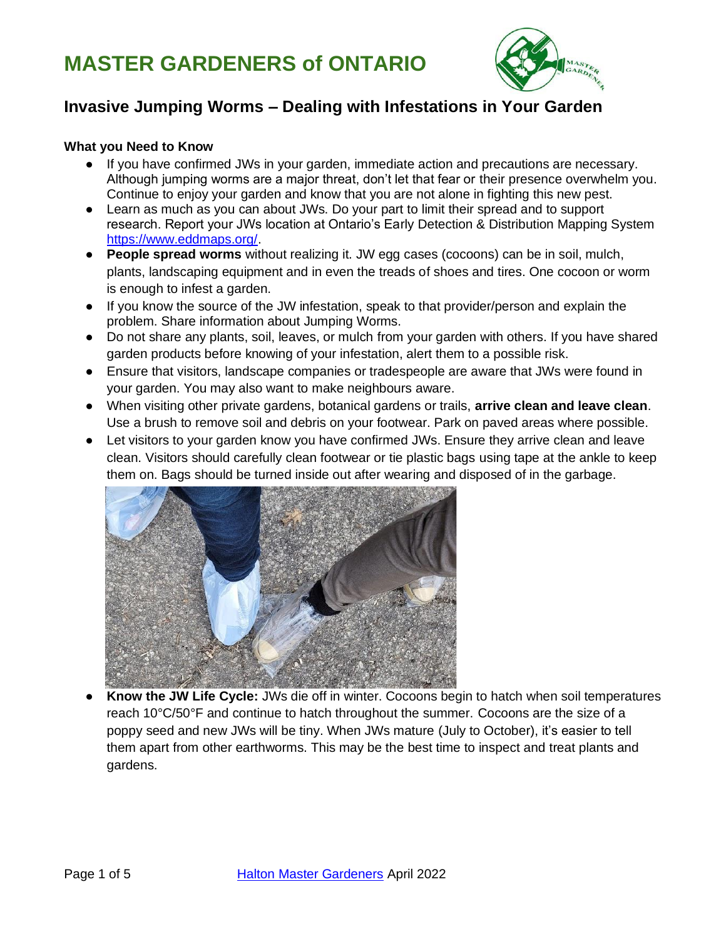

### **Invasive Jumping Worms – Dealing with Infestations in Your Garden**

#### **What you Need to Know**

- If you have confirmed JWs in your garden, immediate action and precautions are necessary. Although jumping worms are a major threat, don't let that fear or their presence overwhelm you. Continue to enjoy your garden and know that you are not alone in fighting this new pest.
- Learn as much as you can about JWs. Do your part to limit their spread and to support research. Report your JWs location at Ontario's Early Detection & Distribution Mapping System [https://www.eddmaps.org/.](https://www.eddmaps.org/)
- **People spread worms** without realizing it. JW egg cases (cocoons) can be in soil, mulch, plants, landscaping equipment and in even the treads of shoes and tires. One cocoon or worm is enough to infest a garden.
- If you know the source of the JW infestation, speak to that provider/person and explain the problem. Share information about Jumping Worms.
- Do not share any plants, soil, leaves, or mulch from your garden with others. If you have shared garden products before knowing of your infestation, alert them to a possible risk.
- Ensure that visitors, landscape companies or tradespeople are aware that JWs were found in your garden. You may also want to make neighbours aware.
- When visiting other private gardens, botanical gardens or trails, **arrive clean and leave clean**. Use a brush to remove soil and debris on your footwear. Park on paved areas where possible.
- Let visitors to your garden know you have confirmed JWs. Ensure they arrive clean and leave clean. Visitors should carefully clean footwear or tie plastic bags using tape at the ankle to keep them on. Bags should be turned inside out after wearing and disposed of in the garbage.



● **Know the JW Life Cycle:** JWs die off in winter. Cocoons begin to hatch when soil temperatures reach 10°C/50°F and continue to hatch throughout the summer. Cocoons are the size of a poppy seed and new JWs will be tiny. When JWs mature (July to October), it's easier to tell them apart from other earthworms. This may be the best time to inspect and treat plants and gardens.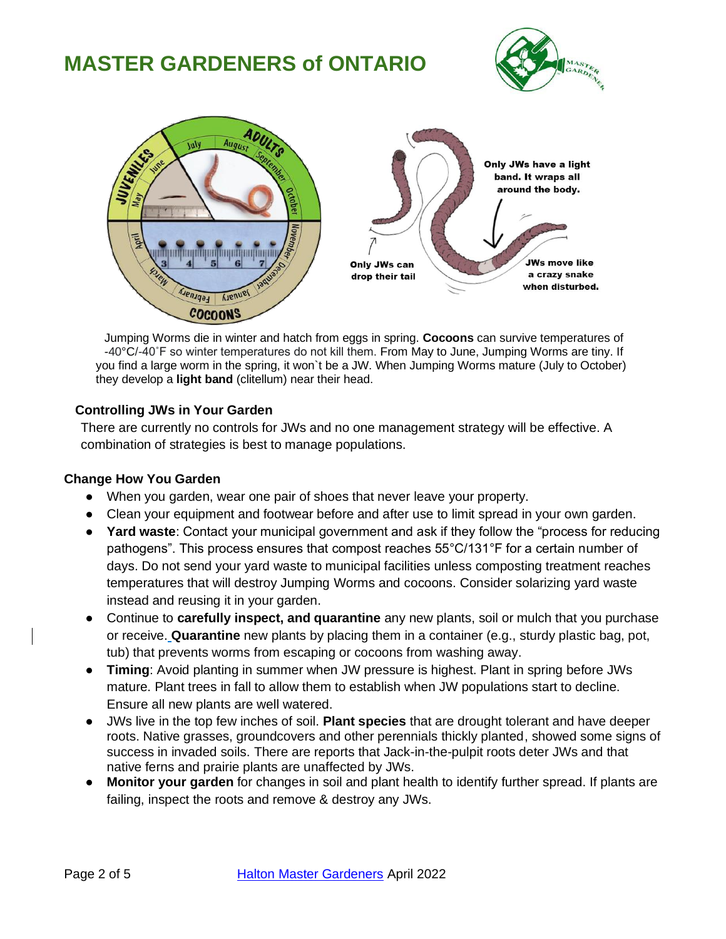



Jumping Worms die in winter and hatch from eggs in spring. **Cocoons** can survive temperatures of -40°C/-40˚F so winter temperatures do not kill them. From May to June, Jumping Worms are tiny. If you find a large worm in the spring, it won`t be a JW. When Jumping Worms mature (July to October) they develop a **light band** (clitellum) near their head.

#### **Controlling JWs in Your Garden**

There are currently no controls for JWs and no one management strategy will be effective. A combination of strategies is best to manage populations.

#### **Change How You Garden**

- When you garden, wear one pair of shoes that never leave your property.
- Clean your equipment and footwear before and after use to limit spread in your own garden.
- **Yard waste**: Contact your municipal government and ask if they follow the "process for reducing pathogens". This process ensures that compost reaches 55°C/131°F for a certain number of days. Do not send your yard waste to municipal facilities unless composting treatment reaches temperatures that will destroy Jumping Worms and cocoons. Consider solarizing yard waste instead and reusing it in your garden.
- Continue to **carefully inspect, and quarantine** any new plants, soil or mulch that you purchase or receive. **Quarantine** new plants by placing them in a container (e.g., sturdy plastic bag, pot, tub) that prevents worms from escaping or cocoons from washing away.
- **Timing**: Avoid planting in summer when JW pressure is highest. Plant in spring before JWs mature. Plant trees in fall to allow them to establish when JW populations start to decline. Ensure all new plants are well watered.
- JWs live in the top few inches of soil. **Plant species** that are drought tolerant and have deeper roots. Native grasses, groundcovers and other perennials thickly planted, showed some signs of success in invaded soils. There are reports that Jack-in-the-pulpit roots deter JWs and that native ferns and prairie plants are unaffected by JWs.
- **Monitor your garden** for changes in soil and plant health to identify further spread. If plants are failing, inspect the roots and remove & destroy any JWs.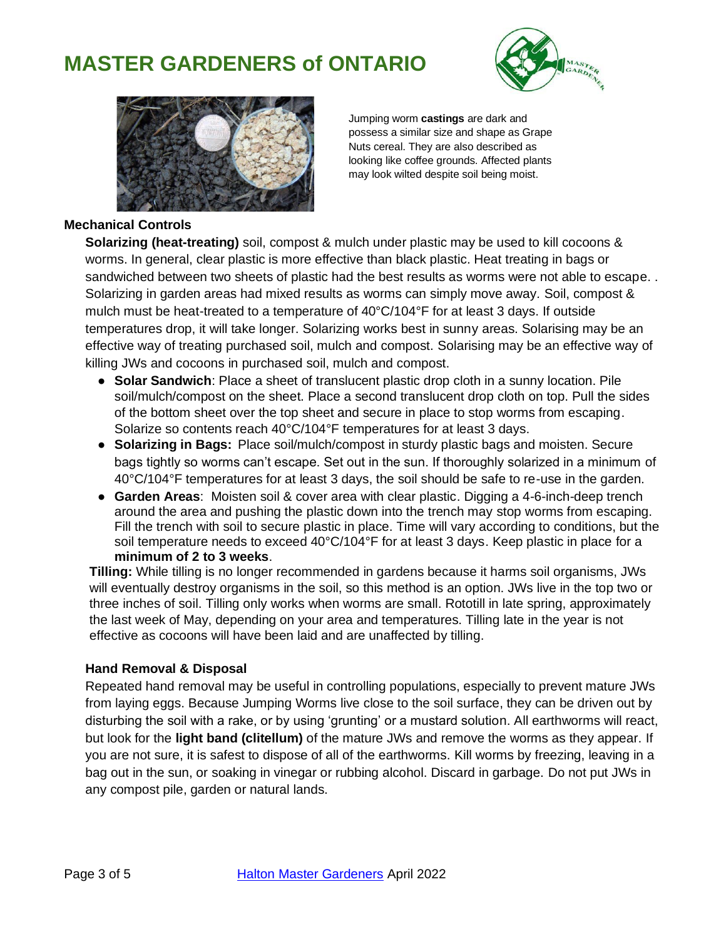



Jumping worm **castings** are dark and possess a similar size and shape as Grape Nuts cereal. They are also described as looking like coffee grounds. Affected plants may look wilted despite soil being moist.

#### **Mechanical Controls**

**Solarizing (heat-treating)** soil, compost & mulch under plastic may be used to kill cocoons & worms. In general, clear plastic is more effective than black plastic. Heat treating in bags or sandwiched between two sheets of plastic had the best results as worms were not able to escape. . Solarizing in garden areas had mixed results as worms can simply move away*.* Soil, compost & mulch must be heat-treated to a temperature of 40°C/104°F for at least 3 days. If outside temperatures drop, it will take longer. Solarizing works best in sunny areas. Solarising may be an effective way of treating purchased soil, mulch and compost. Solarising may be an effective way of killing JWs and cocoons in purchased soil, mulch and compost.

- **Solar Sandwich**: Place a sheet of translucent plastic drop cloth in a sunny location. Pile soil/mulch/compost on the sheet. Place a second translucent drop cloth on top. Pull the sides of the bottom sheet over the top sheet and secure in place to stop worms from escaping. Solarize so contents reach 40°C/104°F temperatures for at least 3 days.
- **Solarizing in Bags:** Place soil/mulch/compost in sturdy plastic bags and moisten. Secure bags tightly so worms can't escape. Set out in the sun. If thoroughly solarized in a minimum of 40°C/104°F temperatures for at least 3 days, the soil should be safe to re-use in the garden.
- **Garden Areas**: Moisten soil & cover area with clear plastic. Digging a 4-6-inch-deep trench around the area and pushing the plastic down into the trench may stop worms from escaping. Fill the trench with soil to secure plastic in place. Time will vary according to conditions, but the soil temperature needs to exceed 40°C/104°F for at least 3 days. Keep plastic in place for a **minimum of 2 to 3 weeks**.

**Tilling:** While tilling is no longer recommended in gardens because it harms soil organisms, JWs will eventually destroy organisms in the soil, so this method is an option. JWs live in the top two or three inches of soil. Tilling only works when worms are small. Rototill in late spring, approximately the last week of May, depending on your area and temperatures. Tilling late in the year is not effective as cocoons will have been laid and are unaffected by tilling.

#### **Hand Removal & Disposal**

Repeated hand removal may be useful in controlling populations, especially to prevent mature JWs from laying eggs. Because Jumping Worms live close to the soil surface, they can be driven out by disturbing the soil with a rake, or by using 'grunting' or a mustard solution. All earthworms will react, but look for the **light band (clitellum)** of the mature JWs and remove the worms as they appear. If you are not sure, it is safest to dispose of all of the earthworms. Kill worms by freezing, leaving in a bag out in the sun, or soaking in vinegar or rubbing alcohol. Discard in garbage. Do not put JWs in any compost pile, garden or natural lands.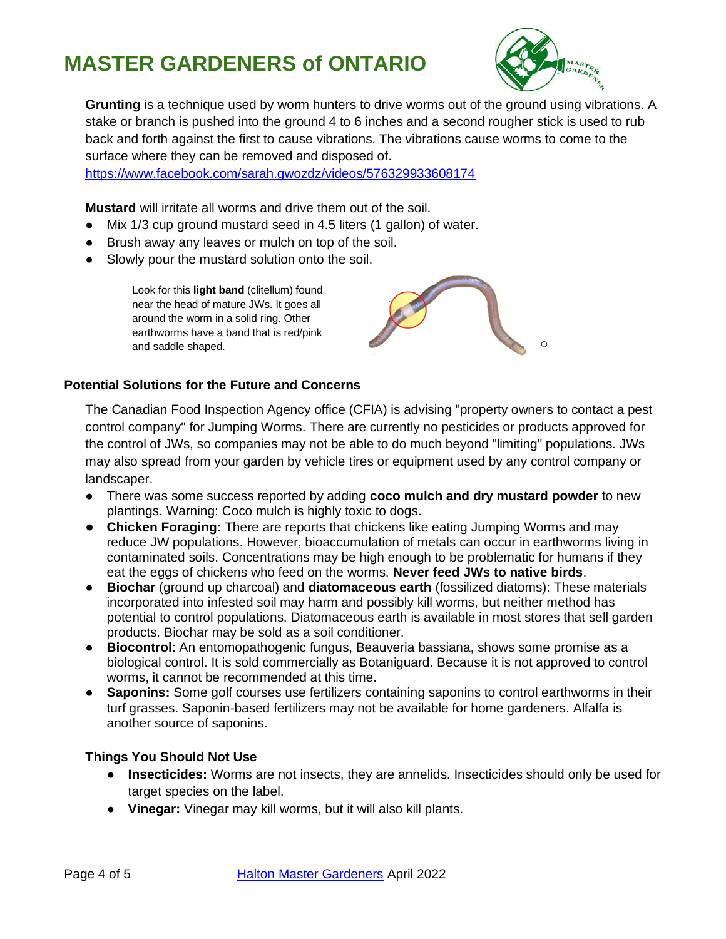

**Grunting** is a technique used by worm hunters to drive worms out of the ground using vibrations. A stake or branch is pushed into the ground 4 to 6 inches and a second rougher stick is used to rub back and forth against the first to cause vibrations. The vibrations cause worms to come to the surface where they can be removed and disposed of.

<https://www.facebook.com/sarah.gwozdz/videos/576329933608174>

**Mustard** will irritate all worms and drive them out of the soil.

- Mix 1/3 cup ground mustard seed in 4.5 liters (1 gallon) of water.
- Brush away any leaves or mulch on top of the soil.
- Slowly pour the mustard solution onto the soil.

Look for this **light band** (clitellum) found near the head of mature JWs. It goes all around the worm in a solid ring. Other earthworms have a band that is red/pink and saddle shaped.



### **Potential Solutions for the Future and Concerns**

The Canadian Food Inspection Agency office (CFIA) is advising "property owners to contact a pest control company" for Jumping Worms. There are currently no pesticides or products approved for the control of JWs, so companies may not be able to do much beyond "limiting" populations. JWs may also spread from your garden by vehicle tires or equipment used by any control company or landscaper.

- There was some success reported by adding **coco mulch and dry mustard powder** to new plantings. Warning: Coco mulch is highly toxic to dogs.
- **Chicken Foraging:** There are reports that chickens like eating Jumping Worms and may reduce JW populations. However, bioaccumulation of metals can occur in earthworms living in contaminated soils. Concentrations may be high enough to be problematic for humans if they eat the eggs of chickens who feed on the worms. **Never feed JWs to native birds**.
- **Biochar** (ground up charcoal) and **diatomaceous earth** (fossilized diatoms): These materials incorporated into infested soil may harm and possibly kill worms, but neither method has potential to control populations. Diatomaceous earth is available in most stores that sell garden products. Biochar may be sold as a soil conditioner.
- **Biocontrol**: An entomopathogenic fungus, Beauveria bassiana, shows some promise as a biological control. It is sold commercially as Botaniguard. Because it is not approved to control worms, it cannot be recommended at this time.
- **Saponins:** Some golf courses use fertilizers containing saponins to control earthworms in their turf grasses. Saponin-based fertilizers may not be available for home gardeners. Alfalfa is another source of saponins.

### **Things You Should Not Use**

- **Insecticides:** Worms are not insects, they are annelids. Insecticides should only be used for target species on the label.
- **Vinegar:** Vinegar may kill worms, but it will also kill plants.